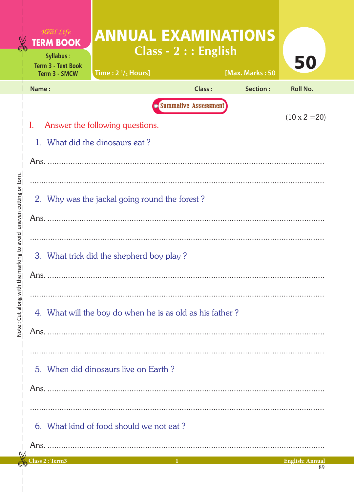|                                     | $R$ <i>eal</i> $Life$<br><b>TERM BOOK</b><br>Syllabus:<br><b>Term 3 - Text Book</b><br>Term 3 - SMCW                                                                                        | <b>ANNUAL EXAMINATIONS</b><br>Time: $2\frac{1}{2}$ Hours]                       | Class - $2:$ : English | [Max. Marks: 50 | 50                     |  |  |  |  |  |
|-------------------------------------|---------------------------------------------------------------------------------------------------------------------------------------------------------------------------------------------|---------------------------------------------------------------------------------|------------------------|-----------------|------------------------|--|--|--|--|--|
|                                     | Name:                                                                                                                                                                                       |                                                                                 | <b>Class:</b>          | Section:        | <b>Roll No.</b>        |  |  |  |  |  |
| avoid uneven cutting or torn.       | <b>Summative Assessment</b><br>$(10 \times 2 = 20)$<br>$\mathbf{I}$ .<br>Answer the following questions.<br>1. What did the dinosaurs eat?<br>2. Why was the jackal going round the forest? |                                                                                 |                        |                 |                        |  |  |  |  |  |
| Note: Cut along with the marking to | 3. What trick did the shepherd boy play?<br>4. What will the boy do when he is as old as his father?                                                                                        |                                                                                 |                        |                 |                        |  |  |  |  |  |
|                                     |                                                                                                                                                                                             | 5. When did dinosaurs live on Earth?<br>6. What kind of food should we not eat? |                        |                 |                        |  |  |  |  |  |
|                                     | Class 2 : Term3                                                                                                                                                                             |                                                                                 | $1 -$                  |                 | <b>English: Annual</b> |  |  |  |  |  |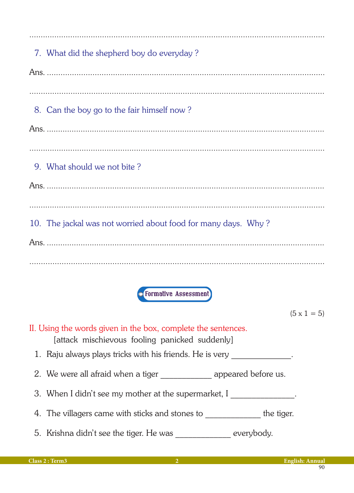| 7. What did the shepherd boy do everyday?                     |
|---------------------------------------------------------------|
|                                                               |
|                                                               |
| 8. Can the boy go to the fair himself now?                    |
|                                                               |
|                                                               |
| 9. What should we not bite?                                   |
|                                                               |
|                                                               |
| 10. The jackal was not worried about food for many days. Why? |
|                                                               |
|                                                               |
|                                                               |
| <b>• Formative Assessment</b>                                 |

 $(5 \times 1 = 5)$ 

II. Using the words given in the box, complete the sentences. [attack mischievous fooling panicked suddenly]

- 1. Raju always plays tricks with his friends. He is very \_\_\_\_\_\_\_\_\_\_\_\_\_.
- 2. We were all afraid when a tiger \_\_\_\_\_\_\_\_\_\_\_\_\_\_\_\_ appeared before us.
- 3. When I didn't see my mother at the supermarket, I \_\_\_\_\_\_\_\_\_\_\_\_\_\_\_.
- 4. The villagers came with sticks and stones to \_\_\_\_\_\_\_\_\_\_\_\_\_\_ the tiger.
- 5. Krishna didn't see the tiger. He was \_\_\_\_\_\_\_\_\_\_\_ everybody.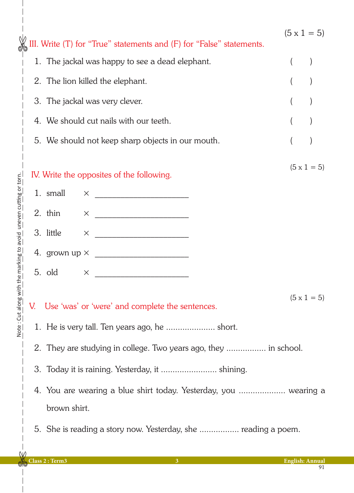|                                                   |                                                                             |                                                                                  | III. Write (T) for "True" statements and (F) for "False" statements. | $(5 \times 1 = 5)$ |  |  |  |  |  |
|---------------------------------------------------|-----------------------------------------------------------------------------|----------------------------------------------------------------------------------|----------------------------------------------------------------------|--------------------|--|--|--|--|--|
| with the marking to avoid uneven cutting or torn. |                                                                             |                                                                                  | 1. The jackal was happy to see a dead elephant.                      |                    |  |  |  |  |  |
|                                                   |                                                                             | 2. The lion killed the elephant.                                                 |                                                                      |                    |  |  |  |  |  |
|                                                   |                                                                             | 3. The jackal was very clever.                                                   |                                                                      |                    |  |  |  |  |  |
|                                                   |                                                                             | 4. We should cut nails with our teeth.                                           |                                                                      |                    |  |  |  |  |  |
|                                                   | 5. We should not keep sharp objects in our mouth.                           |                                                                                  |                                                                      |                    |  |  |  |  |  |
|                                                   | $(5 \times 1 = 5)$<br>IV. Write the opposites of the following.             |                                                                                  |                                                                      |                    |  |  |  |  |  |
|                                                   |                                                                             | 1. small                                                                         | $\times$                                                             |                    |  |  |  |  |  |
|                                                   |                                                                             | 2. thin                                                                          | $\times$                                                             |                    |  |  |  |  |  |
|                                                   |                                                                             | 3. little                                                                        | $\times$                                                             |                    |  |  |  |  |  |
|                                                   |                                                                             |                                                                                  |                                                                      |                    |  |  |  |  |  |
|                                                   |                                                                             | 5. old                                                                           | X                                                                    |                    |  |  |  |  |  |
|                                                   | $(5 \times 1 = 5)$<br>Use 'was' or 'were' and complete the sentences.<br>V. |                                                                                  |                                                                      |                    |  |  |  |  |  |
| Note: Cut along                                   | 1. He is very tall. Ten years ago, he  short.                               |                                                                                  |                                                                      |                    |  |  |  |  |  |
|                                                   |                                                                             | 2. They are studying in college. Two years ago, they  in school.                 |                                                                      |                    |  |  |  |  |  |
|                                                   |                                                                             |                                                                                  |                                                                      |                    |  |  |  |  |  |
|                                                   |                                                                             | 4. You are wearing a blue shirt today. Yesterday, you  wearing a<br>brown shirt. |                                                                      |                    |  |  |  |  |  |
|                                                   |                                                                             | 5. She is reading a story now. Yesterday, she  reading a poem.                   |                                                                      |                    |  |  |  |  |  |

 $\overline{\phantom{a}}$